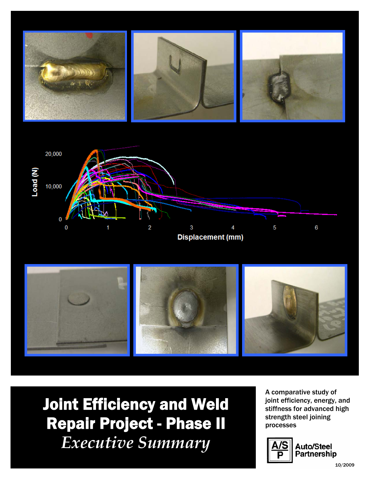





Joint Efficiency and Weld Repair Project - Phase II *Executive Summary* 

A comparative study of joint efficiency, energy, and stiffness for advanced high strength steel joining processes



**Auto/Steel** natorotoo:<br>Partnership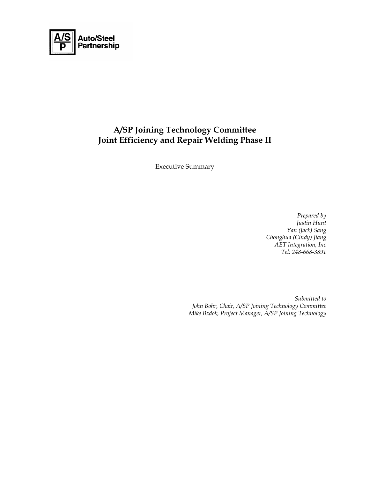

# **A/SP Joining Technology Committee Joint Efficiency and Repair Welding Phase II**

Executive Summary

*Prepared by Justin Hunt Yan (Jack) Sang Chonghua (Cindy) Jiang AET Integration, Inc Tel: 248-668-3891* 

*Submitted to John Bohr, Chair, A/SP Joining Technology Committee Mike Bzdok, Project Manager, A/SP Joining Technology*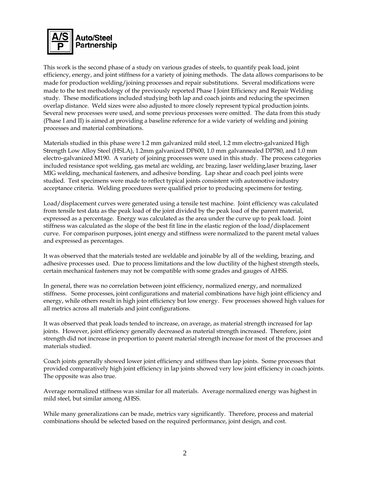

This work is the second phase of a study on various grades of steels, to quantify peak load, joint efficiency, energy, and joint stiffness for a variety of joining methods. The data allows comparisons to be made for production welding/joining processes and repair substitutions. Several modifications were made to the test methodology of the previously reported Phase I Joint Efficiency and Repair Welding study. These modifications included studying both lap and coach joints and reducing the specimen overlap distance. Weld sizes were also adjusted to more closely represent typical production joints. Several new processes were used, and some previous processes were omitted. The data from this study (Phase I and II) is aimed at providing a baseline reference for a wide variety of welding and joining processes and material combinations.

Materials studied in this phase were 1.2 mm galvanized mild steel, 1.2 mm electro-galvanized High Strength Low Alloy Steel (HSLA), 1.2mm galvanized DP600, 1.0 mm galvannealed DP780, and 1.0 mm electro-galvanized M190. A variety of joining processes were used in this study. The process categories included resistance spot welding, gas metal arc welding, arc brazing, laser welding,laser brazing, laser MIG welding, mechanical fasteners, and adhesive bonding. Lap shear and coach peel joints were studied. Test specimens were made to reflect typical joints consistent with automotive industry acceptance criteria. Welding procedures were qualified prior to producing specimens for testing.

Load/displacement curves were generated using a tensile test machine. Joint efficiency was calculated from tensile test data as the peak load of the joint divided by the peak load of the parent material, expressed as a percentage. Energy was calculated as the area under the curve up to peak load. Joint stiffness was calculated as the slope of the best fit line in the elastic region of the load/displacement curve. For comparison purposes, joint energy and stiffness were normalized to the parent metal values and expressed as percentages.

It was observed that the materials tested are weldable and joinable by all of the welding, brazing, and adhesive processes used. Due to process limitations and the low ductility of the highest strength steels, certain mechanical fasteners may not be compatible with some grades and gauges of AHSS.

In general, there was no correlation between joint efficiency, normalized energy, and normalized stiffness. Some processes, joint configurations and material combinations have high joint efficiency and energy, while others result in high joint efficiency but low energy. Few processes showed high values for all metrics across all materials and joint configurations.

It was observed that peak loads tended to increase, on average, as material strength increased for lap joints. However, joint efficiency generally decreased as material strength increased. Therefore, joint strength did not increase in proportion to parent material strength increase for most of the processes and materials studied.

Coach joints generally showed lower joint efficiency and stiffness than lap joints. Some processes that provided comparatively high joint efficiency in lap joints showed very low joint efficiency in coach joints. The opposite was also true.

Average normalized stiffness was similar for all materials.Average normalized energy was highest in mild steel, but similar among AHSS.

While many generalizations can be made, metrics vary significantly. Therefore, process and material combinations should be selected based on the required performance, joint design, and cost.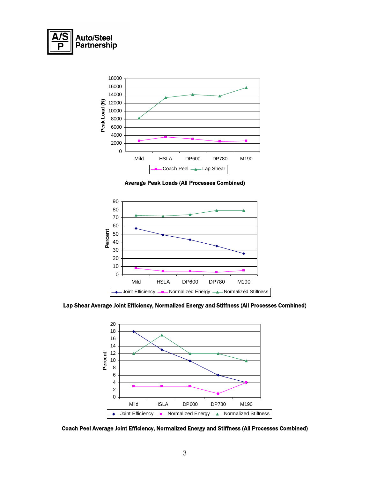



Average Peak Loads (All Processes Combined)



Lap Shear Average Joint Efficiency, Normalized Energy and Stiffness (All Processes Combined)



Coach Peel Average Joint Efficiency, Normalized Energy and Stiffness (All Processes Combined)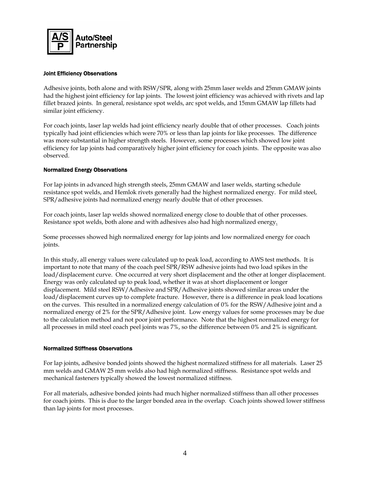

## Joint Efficiency Observations

Adhesive joints, both alone and with RSW/SPR, along with 25mm laser welds and 25mm GMAW joints had the highest joint efficiency for lap joints. The lowest joint efficiency was achieved with rivets and lap fillet brazed joints. In general, resistance spot welds, arc spot welds, and 15mm GMAW lap fillets had similar joint efficiency.

For coach joints, laser lap welds had joint efficiency nearly double that of other processes. Coach joints typically had joint efficiencies which were 70% or less than lap joints for like processes. The difference was more substantial in higher strength steels. However, some processes which showed low joint efficiency for lap joints had comparatively higher joint efficiency for coach joints. The opposite was also observed.

## Normalized Energy Observations

For lap joints in advanced high strength steels, 25mm GMAW and laser welds, starting schedule resistance spot welds, and Hemlok rivets generally had the highest normalized energy. For mild steel, SPR/adhesive joints had normalized energy nearly double that of other processes.

For coach joints, laser lap welds showed normalized energy close to double that of other processes. Resistance spot welds, both alone and with adhesives also had high normalized energy.

Some processes showed high normalized energy for lap joints and low normalized energy for coach joints.

In this study, all energy values were calculated up to peak load, according to AWS test methods. It is important to note that many of the coach peel SPR/RSW adhesive joints had two load spikes in the load/displacement curve. One occurred at very short displacement and the other at longer displacement. Energy was only calculated up to peak load, whether it was at short displacement or longer displacement. Mild steel RSW/Adhesive and SPR/Adhesive joints showed similar areas under the load/displacement curves up to complete fracture. However, there is a difference in peak load locations on the curves. This resulted in a normalized energy calculation of 0% for the RSW/Adhesive joint and a normalized energy of 2% for the SPR/Adhesive joint. Low energy values for some processes may be due to the calculation method and not poor joint performance. Note that the highest normalized energy for all processes in mild steel coach peel joints was 7%, so the difference between 0% and 2% is significant.

## Normalized Stiffness Observations

For lap joints, adhesive bonded joints showed the highest normalized stiffness for all materials. Laser 25 mm welds and GMAW 25 mm welds also had high normalized stiffness. Resistance spot welds and mechanical fasteners typically showed the lowest normalized stiffness.

For all materials, adhesive bonded joints had much higher normalized stiffness than all other processes for coach joints. This is due to the larger bonded area in the overlap. Coach joints showed lower stiffness than lap joints for most processes.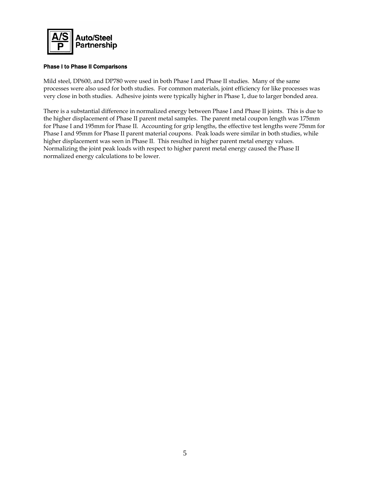

## Phase I to Phase II Comparisons

Mild steel, DP600, and DP780 were used in both Phase I and Phase II studies. Many of the same processes were also used for both studies. For common materials, joint efficiency for like processes was very close in both studies. Adhesive joints were typically higher in Phase 1, due to larger bonded area.

There is a substantial difference in normalized energy between Phase I and Phase II joints. This is due to the higher displacement of Phase II parent metal samples. The parent metal coupon length was 175mm for Phase I and 195mm for Phase II. Accounting for grip lengths, the effective test lengths were 75mm for Phase I and 95mm for Phase II parent material coupons. Peak loads were similar in both studies, while higher displacement was seen in Phase II. This resulted in higher parent metal energy values. Normalizing the joint peak loads with respect to higher parent metal energy caused the Phase II normalized energy calculations to be lower.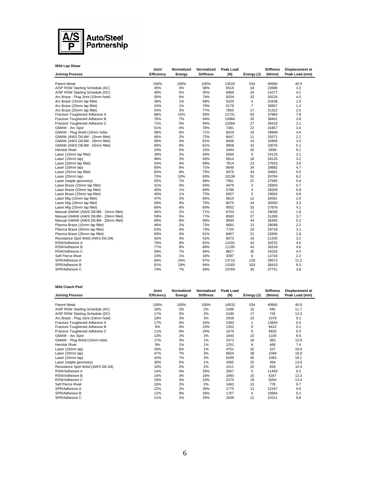

| <b>Mild Lap Shear</b>                 |                     |                      |                                |                  |                |                            |                                   |
|---------------------------------------|---------------------|----------------------|--------------------------------|------------------|----------------|----------------------------|-----------------------------------|
| <b>Joining Process</b>                | Joint<br>Efficiency | Normalized<br>Energy | Normalized<br><b>Stiffness</b> | Peak Load<br>(N) | Energy (J)     | <b>Stiffness</b><br>(N/mm) | Displacement at<br>Peak Load (mm) |
|                                       |                     |                      |                                |                  |                |                            |                                   |
| Parent Metal                          | 100%                | 100%                 | 100%                           | 14533            | 534            | 40660                      | 40.9                              |
| A/SP RSW Starting Schedule (AC)       | 45%                 | 3%                   | 58%                            | 6516             | 18             | 23588                      | 3.3                               |
| A/SP RSW Starting Schedule (DC)       | 48%                 | 5%                   | 35%                            | 6968             | 24             | 14277                      | 4.2                               |
| Arc Braze - Plug Joint (10mm hole)    | 56%                 | 6%                   | 74%                            | 8204             | 32             | 30224                      | 4.5                               |
| Arc Braze (15mm lap fillet)           | 36%                 | 1%                   | 58%                            | 5220             | 4              | 23438                      | 1.0                               |
| Arc Braze (20mm lap fillet)           | 43%                 | 1%                   | 76%                            | 6178             | $\overline{7}$ | 30857                      | 1.4                               |
| Arc Braze (25mm lap fillet)           | 54%                 | 3%                   | 77%                            | 7855             | 17             | 31322                      | 2.5                               |
| Fracture Toughened Adhesive A         | 88%                 | 15%                  | 93%                            | 12731            | 83             | 37960                      | 7.8                               |
| Fracture Toughened Adhesive B         | 76%                 | 7%                   | 94%                            | 10984            | 35             | 38401                      | 3.8                               |
| Fracture Toughened Adhesive C         | 71%                 | 5%                   | 94%                            | 10284            | 27             | 38416                      | 3.1                               |
| <b>GMAW - Arc Spot</b>                | 51%                 | 4%                   | 78%                            | 7381             | 22             | 31857                      | 3.4                               |
| GMAW - Plug Weld (10mm hole)          | 58%                 | 6%                   | 71%                            | 8429             | 33             | 28908                      | 4.6                               |
| GMAW (AWS D8.8M - 15mm fillet)        | 46%                 | 2%                   | 72%                            | 6647             | 11             | 29371                      | 2.1                               |
| GMAW (AWS D8.8M - 20mm fillet)        | 58%                 | 4%                   | 81%                            | 8456             | 24             | 32856                      | 3.3                               |
| GMAW (AWS D8.8M - 25mm fillet)        | 68%                 | 8%                   | 81%                            | 9908             | 42             | 33076                      | 5.1                               |
| Hemlok Rivet                          | 24%                 | 5%                   | 15%                            | 3494             | 25             | 5938                       | 9.1                               |
| Laser (15mm lap fillet)               | 38%                 | 2%                   | 59%                            | 5595             | 9              | 24120                      | 2.1                               |
| Laser (15mm lap)                      | 48%                 | 3%                   | 69%                            | 6914             | 18             | 28126                      | 3.2                               |
| Laser (20mm lap fillet)               | 54%                 | 4%                   | 68%                            | 7814             | 23             | 27816                      | 3.6                               |
| Laser (20mm lap)                      | 60%                 | 6%                   | 71%                            | 8649             | 34             | 28882                      | 4.7                               |
| Laser (25mm lap fillet)               | 65%                 | 8%                   | 75%                            | 9379             | 43             | 30681                      | 5.5                               |
| Laser (25mm lap)                      | 70%                 | 10%                  | 83%                            | 10139            | 52             | 33764                      | 6.2                               |
| Laser (staple geometry)               | 55%                 | 7%                   | 68%                            | 7961             | 37             | 27595                      | 5.4                               |
| Laser Braze (15mm lap fillet)         | 31%                 | 0%                   | 64%                            | 4478             | $\overline{2}$ | 25903                      | 0.7                               |
| Laser Braze (20mm lap fillet)         | 40%                 | $1\%$                | 69%                            | 5786             | $\overline{4}$ | 28209                      | 0.9                               |
| Laser Braze (25mm lap fillet)         | 46%                 | 1%                   | 73%                            | 6657             | 5              | 29683                      | 0.8                               |
| Laser Mig (15mm lap fillet)           | 47%                 | 2%                   | 65%                            | 6810             | 12             | 26591                      | 2.0                               |
| Laser Mig (20mm lap fillet)           | 59%                 | 4%                   | 75%                            | 8575             | 24             | 30350                      | 3.3                               |
| Laser Mig (25mm lap fillet)           | 66%                 | 6%                   | 69%                            | 9552             | 33             | 27876                      | 4.1                               |
| Manual GMAW (AWS D8.8M - 15mm fillet) | 46%                 | 2%                   | 71%                            | 6703             | 11             | 29036                      | 1.9                               |
| Manual GMAW (AWS D8.8M - 20mm fillet) | 59%                 | 5%                   | 77%                            | 8583             | 27             | 31290                      | 3.7                               |
| Manual GMAW (AWS D8.8M - 25mm fillet) | 68%                 | 8%                   | 90%                            | 9930             | 44             | 36455                      | 5.2                               |
| Plasma Braze (15mm lap fillet)        | 46%                 | 2%                   | 72%                            | 6681             | 13             | 29099                      | 2.2                               |
| Plasma Braze (20mm lap fillet)        | 53%                 | 4%                   | 73%                            | 7720             | 20             | 29718                      | 3.1                               |
| Plasma Braze (25mm lap fillet)        | 58%                 | 4%                   | 81%                            | 8467             | 21             | 32856                      | 2.9                               |
| Resistance Spot Weld (AWS D8.1M)      | 42%                 | 3%                   | 52%                            | 6073             | 16             | 21250                      | 3.2                               |
| RSW/Adhesive A                        | 76%                 | 8%                   | 82%                            | 11031            | 42             | 33232                      | 4.5                               |
| RSW/Adhesive B                        | 77%                 | 8%                   | 89%                            | 11195            | 43             | 36318                      | 4.6                               |
| RSW/Adhesive C                        | 59%                 | 7%                   | 84%                            | 8627             | 35             | 34326                      | 4.4                               |
| Self Pierce Rivet                     | 23%                 | 1%                   | 34%                            | 3397             | 6              | 13743                      | 2.2                               |
| SPR/Adhesive A                        | 94%                 | 24%                  | 97%                            | 13715            | 129            | 39573                      | 11.2                              |
| SPR/Adhesive B                        | 91%                 | 19%                  | 94%                            | 13183            | 103            | 38410                      | 9.3                               |
| SPR/Adhesive C                        | 74%                 | 7%                   | 93%                            | 10769            | 35             | 37751                      | 3.8                               |

#### **Mild Coach Peel**

| Mild Coach Peel                    |                     |                      |                                |                  |            |                            |                                          |
|------------------------------------|---------------------|----------------------|--------------------------------|------------------|------------|----------------------------|------------------------------------------|
| <b>Joining Process</b>             | Joint<br>Efficiency | Normalized<br>Energy | Normalized<br><b>Stiffness</b> | Peak Load<br>(N) | Energy (J) | <b>Stiffness</b><br>(N/mm) | <b>Displacement at</b><br>Peak Load (mm) |
|                                    |                     |                      |                                |                  |            |                            |                                          |
| <b>Parent Metal</b>                | 100%                | 100%                 | 100%                           | 14533            | 534        | 40660                      | 40.9                                     |
| A/SP RSW Starting Schedule (AC)    | 16%                 | 3%                   | 2%                             | 2288             | 15         | 945                        | 11.7                                     |
| A/SP RSW Starting Schedule (DC)    | 17%                 | 3%                   | 2%                             | 2430             | 17         | 725                        | 13.3                                     |
| Arc Braze - Plug Joint (10mm hole) | 18%                 | 3%                   | 3%                             | 2558             | 15         | 1079                       | 9.2                                      |
| Fracture Toughened Adhesive A      | 17%                 | $0\%$                | 34%                            | 2493             |            | 13844                      | 0.4                                      |
| Fracture Toughened Adhesive B      | 9%                  | $0\%$                | 23%                            | 1352             | 0          | 9422                       | 0.2                                      |
| Fracture Toughened Adhesive C      | 11%                 | $0\%$                | 24%                            | 1670             | 0          | 9925                       | 0.3                                      |
| GMAW - Arc Spot                    | 13%                 | 2%                   | 3%                             | 1840             | 10         | 1100                       | 8.6                                      |
| GMAW - Plug Weld (10mm hole)       | 17%                 | 3%                   | $1\%$                          | 2473             | 18         | 383                        | 13.9                                     |
| Hemlok Rivet                       | 9%                  | 1%                   | 1%                             | 1251             | 6          | 468                        | 7.4                                      |
| Laser (15mm lap)                   | 33%                 | 6%                   | $1\%$                          | 4751             | 32         | 337                        | 18.9                                     |
| Laser (20mm lap)                   | 47%                 | 7%                   | 3%                             | 6824             | 38         | 1049                       | 18.9                                     |
| Laser (25mm lap)                   | 43%                 | 7%                   | 3%                             | 6295             | 35         | 1093                       | 18.1                                     |
| Laser (staple geometry)            | 30%                 | 5%                   | 1%                             | 4365             | 25         | 494                        | 13.8                                     |
| Resistance Spot Weld (AWS D8.1M)   | 10%                 | 2%                   | 2%                             | 1511             | 10         | 828                        | 10.4                                     |
| RSW/Adhesive A                     | 14%                 | 0%                   | 28%                            | 2007             | 0          | 11459                      | 0.3                                      |
| RSW/Adhesive B                     | 14%                 | 3%                   | 16%                            | 1993             | 15         | 6347                       | 12.3                                     |
| RSW/Adhesive C                     | 16%                 | 4%                   | 23%                            | 2375             | 19         | 9254                       | 13.4                                     |
| Self Pierce Rivet                  | 10%                 | 2%                   | 2%                             | 1463             | 10         | 778                        | 9.7                                      |
| SPR/Adhesive A                     | 12%                 | 2%                   | 30%                            | 1775             | 13         | 12347                      | 9.9                                      |
| SPR/Adhesive B                     | 12%                 | 0%                   | 26%                            | 1767             | 0          | 10684                      | 0.2                                      |
| SPR/Adhesive C                     | 11%                 | 2%                   | 25%                            | 1639             | 12         | 10221                      | 9.8                                      |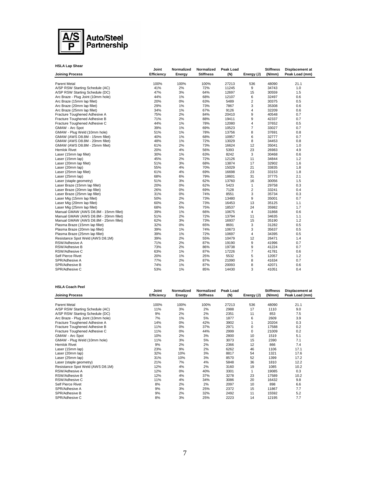

| <b>HSLA Lap Shear</b>                 | Joint      | Normalized | Normalized       | Peak Load |                | <b>Stiffness</b> | Displacement at |
|---------------------------------------|------------|------------|------------------|-----------|----------------|------------------|-----------------|
| <b>Joining Process</b>                | Efficiency | Energy     | <b>Stiffness</b> | (N)       | Energy (J)     | (N/mm)           | Peak Load (mm)  |
| <b>Parent Metal</b>                   | 100%       | 100%       | 100%             | 27213     | 536            | 48090            | 21.1            |
| A/SP RSW Starting Schedule (AC)       | 41%        | 2%         | 72%              | 11245     | 9              | 34743            | 1.0             |
| A/SP RSW Starting Schedule (DC)       | 47%        | 3%         | 64%              | 12697     | 15             | 30559            | 1.5             |
| Arc Braze - Plug Joint (10mm hole)    | 44%        | 1%         | 68%              | 12107     | 6              | 32497            | 0.6             |
| Arc Braze (15mm lap fillet)           | 20%        | 0%         | 63%              | 5489      | $\overline{2}$ | 30375            | 0.5             |
| Arc Braze (20mm lap fillet)           | 29%        | 1%         | 73%              | 7867      | 3              | 35308            | 0.6             |
| Arc Braze (25mm lap fillet)           | 34%        | 1%         | 67%              | 9126      | 4              | 32209            | 0.6             |
| Fracture Toughened Adhesive A         | 75%        | 2%         | 84%              | 20410     | 9              | 40548            | 0.7             |
| Fracture Toughened Adhesive B         | 71%        | 2%         | 88%              | 19411     | 9              | 42337            | 0.7             |
| Fracture Toughened Adhesive C         | 44%        | 1%         | 78%              | 12080     | 4              | 37652            | 0.5             |
| GMAW - Arc Spot                       | 39%        | 1%         | 69%              | 10523     | $\overline{7}$ | 33027            | 0.7             |
| GMAW - Plug Weld (10mm hole)          | 51%        | 1%         | 78%              | 13756     | 8              | 37691            | 0.8             |
| GMAW (AWS D8.8M - 15mm fillet)        | 40%        | 1%         | 68%              | 10957     | 6              | 32777            | 0.7             |
| GMAW (AWS D8.8M - 20mm fillet)        | 48%        | 1%         | 72%              | 13029     | 8              | 34453            | 0.8             |
| GMAW (AWS D8.8M - 25mm fillet)        | 61%        | 2%         | 73%              | 16624     | 12             | 35041            | 1.0             |
| <b>Hemlok Rivet</b>                   | 20%        | 4%         | 56%              | 5393      | 23             | 26983            | 4.9             |
| Laser (15mm lap fillet)               | 30%        | 1%         | 63%              | 8242      | 3              | 30468            | 0.6             |
| Laser (15mm lap)                      | 45%        | 2%         | 72%              | 12126     | 11             | 34844            | 1.2             |
| Laser (20mm lap fillet)               | 51%        | 3%         | 68%              | 13874     | 17             | 32902            | 1.6             |
| Laser (20mm lap)                      | 55%        | 4%         | 70%              | 15029     | 21             | 33835            | 1.8             |
| Laser (25mm lap fillet)               | 61%        | 4%         | 69%              | 16698     | 23             | 33153            | 1.8             |
| Laser (25mm lap)                      | 68%        | 6%         | 79%              | 18601     | 31             | 37775            | 2.1             |
| Laser (staple geometry)               | 51%        | 3%         | 62%              | 13760     | 16             | 30056            | 1.5             |
| Laser Braze (15mm lap fillet)         | 20%        | 0%         | 62%              | 5423      | $\mathbf{1}$   | 29758            | 0.3             |
| Laser Braze (20mm lap fillet)         | 26%        | 0%         | 69%              | 7128      | $\overline{2}$ | 33241            | 0.4             |
| Laser Braze (25mm lap fillet)         | 31%        | 0%         | 74%              | 8551      | 3              | 35734            | 0.3             |
| Laser Mig (15mm lap fillet)           | 50%        | 2%         | 73%              | 13480     | 9              | 35001            | 0.7             |
| Laser Mig (20mm lap fillet)           | 60%        | 2%         | 73%              | 16453     | 13             | 35125            | 1.1             |
| Laser Mig (25mm lap fillet)           | 68%        | 5%         | 75%              | 18537     | 24             | 35982            | 1.7             |
| Manual GMAW (AWS D8.8M - 15mm fillet) | 39%        | 1%         | 66%              | 10675     | $\overline{4}$ | 31868            | 0.6             |
| Manual GMAW (AWS D8.8M - 20mm fillet) | 51%        | 2%         | 72%              | 13794     | 11             | 34635            | 1.1             |
| Manual GMAW (AWS D8.8M - 25mm fillet) | 62%        | 3%         | 73%              | 16937     | 15             | 35190            | 1.2             |
| Plasma Braze (15mm lap fillet)        | 32%        | 0%         | 65%              | 8691      | 3              | 31282            | 0.5             |
| Plasma Braze (20mm lap fillet)        | 39%        | 1%         | 74%              | 10673     | 3              | 35637            | 0.5             |
| Plasma Braze (25mm lap fillet)        | 39%        | 1%         | 72%              | 10697     | $\overline{4}$ | 34395            | 0.5             |
| Resistance Spot Weld (AWS D8.1M)      | 39%        | 2%         | 55%              | 10479     | 12             | 26471            | 1.4             |
| RSW/Adhesive A                        | 71%        | 2%         | 87%              | 19190     | 9              | 41996            | 0.7             |
| RSW/Adhesive B                        | 73%        | 2%         | 86%              | 19738     | 9              | 41224            | 0.7             |
| RSW/Adhesive C                        | 63%        | 1%         | 87%              | 17226     | $\overline{7}$ | 41781            | 0.6             |
| Self Pierce Rivet                     | 20%        | 1%         | 25%              | 5532      | 5              | 12057            | 1.2             |
| SPR/Adhesive A                        | 77%        | 2%         | 87%              | 21090     | 8              | 41634            | 0.7             |
| SPR/Adhesive B                        | 74%        | 1%         | 87%              | 20093     | 8              | 42071            | 0.6             |
| SPR/Adhesive C                        | 53%        | 1%         | 85%              | 14430     | 3              | 41051            | 0.4             |

## **HSLA Coach Peel**

| <b>HSLA Coach Peel</b>             |                     |                      |                                |                  |            |                            |                                          |
|------------------------------------|---------------------|----------------------|--------------------------------|------------------|------------|----------------------------|------------------------------------------|
| <b>Joining Process</b>             | Joint<br>Efficiency | Normalized<br>Energy | Normalized<br><b>Stiffness</b> | Peak Load<br>(N) | Energy (J) | <b>Stiffness</b><br>(N/mm) | <b>Displacement at</b><br>Peak Load (mm) |
| <b>Parent Metal</b>                | 100%                | 100%                 | 100%                           | 27213            | 536        | 48090                      | 21.1                                     |
| A/SP RSW Starting Schedule (AC)    | 11%                 | 3%                   | 2%                             | 2988             | 17         | 1110                       | 9.0                                      |
| A/SP RSW Starting Schedule (DC)    | 9%                  | 2%                   | 2%                             | 2351             | 11         | 853                        | 7.5                                      |
| Arc Braze - Plug Joint (10mm hole) | 7%                  | 1%                   | 5%                             | 1877             | 6          | 2609                       | 3.9                                      |
| Fracture Toughened Adhesive A      | 14%                 | $0\%$                | 42%                            | 3902             |            | 20204                      | 0.3                                      |
| Fracture Toughened Adhesive B      | 11%                 | 0%                   | 37%                            | 2971             | 0          | 17588                      | 0.2                                      |
| Fracture Toughened Adhesive C      | 11%                 | $0\%$                | 44%                            | 2999             | 0          | 21009                      | 0.2                                      |
| GMAW - Arc Spot                    | 10%                 | 2%                   | 3%                             | 2800             | 10         | 1519                       | 5.1                                      |
|                                    |                     |                      |                                |                  |            |                            |                                          |
| GMAW - Plug Weld (10mm hole)       | 11%                 | 3%                   | 5%                             | 3073             | 15         | 2390                       | 7.1                                      |
| <b>Hemlok Rivet</b>                | 9%                  | 2%                   | 2%                             | 2366             | 12         | 866                        | 7.4                                      |
| Laser (15mm lap)                   | 23%                 | 9%                   | 2%                             | 6262             | 46         | 1106                       | 17.1                                     |
| Laser (20mm lap)                   | 32%                 | 10%                  | 3%                             | 8817             | 54         | 1321                       | 17.6                                     |
| Laser (25mm lap)                   | 31%                 | 10%                  | 3%                             | 8570             | 52         | 1399                       | 17.2                                     |
| Laser (staple geometry)            | 21%                 | 7%                   | 4%                             | 5848             | 36         | 1810                       | 12.2                                     |
| Resistance Spot Weld (AWS D8.1M)   | 12%                 | 4%                   | 2%                             | 3160             | 19         | 1085                       | 10.2                                     |
| RSW/Adhesive A                     | 12%                 | 0%                   | 40%                            | 3301             |            | 19085                      | 0.3                                      |
| RSW/Adhesive B                     | 12%                 | 4%                   | 37%                            | 3278             | 23         | 17589                      | 10.2                                     |
| RSW/Adhesive C                     | 11%                 | 4%                   | 34%                            | 3086             | 20         | 16432                      | 9.8                                      |
| Self Pierce Rivet                  | 8%                  | 2%                   | 2%                             | 2097             | 10         | 898                        | 6.6                                      |
| SPR/Adhesive A                     | 9%                  | 3%                   | 25%                            | 2372             | 15         | 11867                      | 7.7                                      |
| SPR/Adhesive B                     | 9%                  | 2%                   | 32%                            | 2492             | 11         | 15592                      | 5.2                                      |
| SPR/Adhesive C                     | 8%                  | 3%                   | 25%                            | 2223             | 14         | 12195                      | 7.7                                      |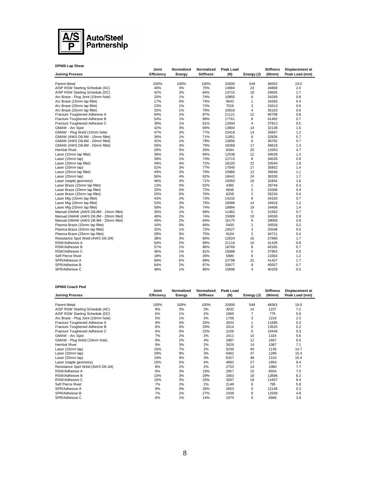

| DP600 Lap Shear                       |                            |                      |                                |                  |                |                            |                                   |
|---------------------------------------|----------------------------|----------------------|--------------------------------|------------------|----------------|----------------------------|-----------------------------------|
| <b>Joining Process</b>                | Joint<br><b>Efficiency</b> | Normalized<br>Energy | Normalized<br><b>Stiffness</b> | Peak Load<br>(N) | Energy (J)     | <b>Stiffness</b><br>(N/mm) | Displacement at<br>Peak Load (mm) |
| <b>Parent Metal</b>                   | 100%                       | 100%                 | 100%                           | 32900            | 549            | 46563                      | 19.0                              |
| A/SP RSW Starting Schedule (AC)       | 46%                        | 4%                   | 75%                            | 14984            | 23             | 34808                      | 2.0                               |
| A/SP RSW Starting Schedule (DC)       | 42%                        | 3%                   | 64%                            | 13715            | 18             | 29926                      | 1.7                               |
| Arc Braze - Plug Joint (10mm hole)    | 33%                        | $1\%$                | 74%                            | 10855            | 6              | 34269                      | 0.8                               |
| Arc Braze (15mm lap fillet)           | 17%                        | 0%                   | 74%                            | 5643             | 1              | 34383                      | 0.4                               |
| Arc Braze (20mm lap fillet)           | 23%                        | 1%                   | 72%                            | 7526             | 3              | 33413                      | 0.6                               |
| Arc Braze (25mm lap fillet)           | 32%                        | 1%                   | 76%                            | 10618            | 4              | 35163                      | 0.6                               |
| Fracture Toughened Adhesive A         | 64%                        | 2%                   | 87%                            | 21121            | 12             | 40708                      | 0.8                               |
| Fracture Toughened Adhesive B         | 54%                        | $1\%$                | 89%                            | 17761            | 8              | 41482                      | 0.7                               |
| Fracture Toughened Adhesive C         | 39%                        | $1\%$                | 81%                            | 12694            | $\overline{4}$ | 37913                      | 0.5                               |
| GMAW - Arc Spot                       | 42%                        | 3%                   | 69%                            | 13904            | 14             | 32138                      | 1.5                               |
| GMAW - Plug Weld (10mm hole)          | 47%                        | 3%                   | 77%                            | 15418            | 14             | 35897                      | 1.2                               |
| GMAW (AWS D8.8M - 15mm fillet)        | 36%                        | 1%                   | 71%                            | 11851            | 6              | 32836                      | 0.7                               |
| GMAW (AWS D8.8M - 20mm fillet)        | 42%                        | $1\%$                | 79%                            | 13656            | 6              | 36782                      | 0.7                               |
| GMAW (AWS D8.8M - 25mm fillet)        | 56%                        | 3%                   | 79%                            | 18268            | 17             | 36619                      | 1.3                               |
| Hemlok Rivet                          | 20%                        | 5%                   | 26%                            | 6494             | 25             | 12053                      | 4.7                               |
| Laser (15mm lap fillet)               | 38%                        | 2%                   | 66%                            | 12538            | 12             | 30639                      | 1.3                               |
| Laser (15mm lap)                      | 39%                        | $1\%$                | 73%                            | 12715            | 8              | 34028                      | 0.9                               |
| Laser (20mm lap fillet)               | 49%                        | 4%                   | 72%                            | 16220            | 22             | 33540                      | 1.8                               |
| Laser (20mm lap)                      | 52%                        | 3%                   | 77%                            | 17040            | 17             | 35852                      | 1.4                               |
| Laser (25mm lap fillet)               | 49%                        | 2%                   | 79%                            | 15966            | 13             | 36648                      | 1.1                               |
| Laser (25mm lap)                      | 56%                        | 4%                   | 82%                            | 18441            | 24             | 38330                      | 1.7                               |
| Laser (staple geometry)               | 46%                        | 3%                   | 71%                            | 15093            | 18             | 32834                      | 1.6                               |
| Laser Braze (15mm lap fillet)         | 13%                        | 0%                   | 62%                            | 4385             | 1              | 28746                      | 0.3                               |
| Laser Braze (20mm lap fillet)         | 20%                        | 0%                   | 72%                            | 6646             | $\overline{2}$ | 33306                      | 0.4                               |
| Laser Braze (25mm lap fillet)         | 25%                        | 0%                   | 76%                            | 8259             | 2              | 35234                      | 0.4                               |
| Laser Mig (15mm lap fillet)           | 43%                        | 2%                   | 73%                            | 14232            | 9              | 34183                      | 0.7                               |
| Laser Mig (20mm lap fillet)           | 52%                        | 3%                   | 75%                            | 16996            | 14             | 34918                      | 1.2                               |
| Laser Mig (25mm lap fillet)           | 58%                        | 3%                   | 74%                            | 18994            | 19             | 34406                      | 1.4                               |
| Manual GMAW (AWS D8.8M - 15mm fillet) | 35%                        | 1%                   | 68%                            | 11462            | 5              | 31562                      | 0.7                               |
| Manual GMAW (AWS D8.8M - 20mm fillet) | 46%                        | 2%                   | 74%                            | 15089            | 10             | 34530                      | 0.9                               |
| Manual GMAW (AWS D8.8M - 25mm fillet) | 49%                        | 2%                   | 84%                            | 16175            | 9              | 39069                      | 0.8                               |
| Plasma Braze (15mm lap fillet)        | 16%                        | 0%                   | 66%                            | 5400             | 1              | 30558                      | 0.2                               |
| Plasma Braze (20mm lap fillet)        | 32%                        | 1%                   | 72%                            | 10527            | 3              | 33548                      | 0.5                               |
| Plasma Braze (25mm lap fillet)        | 28%                        | 0%                   | 75%                            | 9104             | $\overline{2}$ | 34721                      | 0.4                               |
| Resistance Spot Weld (AWS D8.1M)      | 38%                        | 3%                   | 60%                            | 12624            | 16             | 27896                      | 1.7                               |
| RSW/Adhesive A                        | 64%                        | 2%                   | 89%                            | 21116            | 10             | 41428                      | 0.8                               |
| RSW/Adhesive B                        | 57%                        | $1\%$                | 86%                            | 18769            | 8              | 40165                      | 0.7                               |
| RSW/Adhesive C                        | 46%                        | 1%                   | 81%                            | 15088            | 6              | 37903                      | 0.6                               |
| Self Pierce Rivet                     | 18%                        | $1\%$                | 29%                            | 5980             | 6              | 13354                      | 1.2                               |
| SPR/Adhesive A                        | 69%                        | 6%                   | 89%                            | 22798            | 31             | 41437                      | 1.7                               |
| SPR/Adhesive B                        | 64%                        | 2%                   | 87%                            | 20977            | 9              | 40557                      | 0.7                               |
| SPR/Adhesive C                        | 48%                        | 1%                   | 86%                            | 15896            | 4              | 40159                      | 0.5                               |

## **DP600 Coach Peel**

| <b>DP600 Coach Peel</b>            |                     |                      |                                |                  |            |                            |                                          |
|------------------------------------|---------------------|----------------------|--------------------------------|------------------|------------|----------------------------|------------------------------------------|
| <b>Joining Process</b>             | Joint<br>Efficiency | Normalized<br>Energy | Normalized<br><b>Stiffness</b> | Peak Load<br>(N) | Energy (J) | <b>Stiffness</b><br>(N/mm) | <b>Displacement at</b><br>Peak Load (mm) |
| <b>Parent Metal</b>                | 100%                | 100%                 | 100%                           | 32900            | 549        | 46563                      | 19.0                                     |
| A/SP RSW Starting Schedule (AC)    | 9%                  | 3%                   | 3%                             | 3032             | 14         | 1237                       | 7.2                                      |
| A/SP RSW Starting Schedule (DC)    | 6%                  | 1%                   | 2%                             | 1860             | 7          | 775                        | 5.9                                      |
| Arc Braze - Plug Joint (10mm hole) | 5%                  | 1%                   | 3%                             | 1706             | 3          | 1218                       | 2.5                                      |
| Fracture Toughened Adhesive A      | 9%                  | 0%                   | 25%                            | 2833             |            | 11686                      | 0.3                                      |
| Fracture Toughened Adhesive B      | 6%                  | $0\%$                | 29%                            | 2014             | 0          | 13520                      | 0.2                                      |
| Fracture Toughened Adhesive C      | 6%                  | 0%                   | 22%                            | 2109             | 0          | 10449                      | 0.3                                      |
| GMAW - Arc Spot                    | 7%                  | 2%                   | 3%                             | 2411             | 10         | 1324                       | 5.6                                      |
| GMAW - Plug Weld (10mm hole)       | 9%                  | 2%                   | 4%                             | 2887             | 12         | 1667                       | 6.0                                      |
| <b>Hemlok Rivet</b>                | 9%                  | 3%                   | 2%                             | 3029             | 14         | 1087                       | 7.1                                      |
| Laser (15mm lap)                   | 16%                 | 7%                   | 2%                             | 5235             | 40         | 1145                       | 14.7                                     |
| Laser (20mm lap)                   | 20%                 | 9%                   | 3%                             | 6462             | 47         | 1286                       | 15.4                                     |
| Laser (25mm lap)                   | 19%                 | 9%                   | 3%                             | 6327             | 48         | 1310                       | 15.4                                     |
| Laser (staple geometry)            | 15%                 | 5%                   | 4%                             | 4892             | 27         | 1954                       | 9.4                                      |
| Resistance Spot Weld (AWS D8.1M)   | 8%                  | 2%                   | 2%                             | 2753             | 14         | 1080                       | 7.7                                      |
| RSW/Adhesive A                     | 9%                  | 3%                   | 19%                            | 2957             | 15         | 9034                       | 7.5                                      |
| RSW/Adhesive B                     | 10%                 | 3%                   | 29%                            | 3363             | 18         | 13698                      | 8.2                                      |
| RSW/Adhesive C                     | 10%                 | 3%                   | 25%                            | 3287             | 18         | 11657                      | 8.4                                      |
| Self Pierce Rivet                  | 7%                  | 2%                   | 2%                             | 2149             | 8          | 795                        | 5.8                                      |
| SPR/Adhesive A                     | 8%                  | $0\%$                | 26%                            | 2653             | 0          | 12146                      | 0.3                                      |
| SPR/Adhesive B                     | 7%                  | 2%                   | 27%                            | 2439             | 9          | 12599                      | 4.8                                      |
| SPR/Adhesive C                     | 6%                  | 1%                   | 14%                            | 1970             | 6          | 6668                       | 3.8                                      |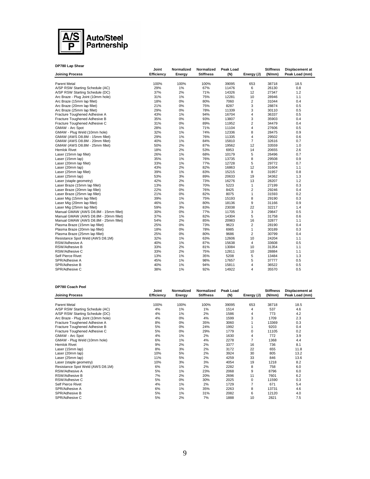

| DP780 Lap Shear                       | Joint             | Normalized | Normalized       | Peak Load |                | <b>Stiffness</b> |                                   |
|---------------------------------------|-------------------|------------|------------------|-----------|----------------|------------------|-----------------------------------|
| <b>Joining Process</b>                | <b>Efficiency</b> | Energy     | <b>Stiffness</b> | (N)       | Energy (J)     | (N/mm)           | Displacement at<br>Peak Load (mm) |
| <b>Parent Metal</b>                   | 100%              | 100%       | 100%             | 39095     | 653            | 38718            | 18.5                              |
| A/SP RSW Starting Schedule (AC)       | 29%               | $1\%$      | 67%              | 11476     | 6              | 26130            | 0.8                               |
| A/SP RSW Starting Schedule (DC)       | 37%               | 2%         | 71%              | 14326     | 12             | 27347            | 1.2                               |
| Arc Braze - Plug Joint (10mm hole)    | 31%               | $1\%$      | 75%              | 12281     | 10             | 28946            | 1.1                               |
| Arc Braze (15mm lap fillet)           | 18%               | 0%         | 80%              | 7060      | $\overline{2}$ | 31044            | 0.4                               |
| Arc Braze (20mm lap fillet)           | 21%               | 0%         | 75%              | 8287      | 3              | 28874            | 0.5                               |
| Arc Braze (25mm lap fillet)           | 29%               | 0%         | 78%              | 11339     | 3              | 30110            | 0.5                               |
| Fracture Toughened Adhesive A         | 43%               | $1\%$      | 94%              | 16704     | 4              | 36337            | 0.5                               |
| Fracture Toughened Adhesive B         | 35%               | 0%         | 93%              | 13807     | 3              | 35903            | 0.4                               |
| Fracture Toughened Adhesive C         | 31%               | 0%         | 89%              | 11952     | $\overline{2}$ | 34479            | 0.4                               |
| GMAW - Arc Spot                       | 28%               | 1%         | 71%              | 11104     | 4              | 27606            | 0.5                               |
| GMAW - Plug Weld (10mm hole)          | 32%               | 1%         | 74%              | 12336     | 8              | 28475            | 0.9                               |
| GMAW (AWS D8.8M - 15mm fillet)        | 29%               | 1%         | 76%              | 11335     | 4              | 29502            | 0.6                               |
| GMAW (AWS D8.8M - 20mm fillet)        | 40%               | $1\%$      | 84%              | 15810     | $\overline{7}$ | 32616            | 0.7                               |
| GMAW (AWS D8.8M - 25mm fillet)        | 50%               | 2%         | 87%              | 19562     | 12             | 33559            | 1.0                               |
| Hemlok Rivet                          | 18%               | 2%         | 53%              | 6953      | 14             | 20655            | 2.6                               |
| Laser (15mm lap fillet)               | 26%               | 1%         | 68%              | 10179     | 5              | 26496            | 0.7                               |
| Laser (15mm lap)                      | 35%               | 1%         | 76%              | 13735     | 8              | 29508            | 0.9                               |
| Laser (20mm lap fillet)               | 33%               | 1%         | 77%              | 12728     | 5              | 29772            | 0.7                               |
| Laser (20mm lap)                      | 43%               | 2%         | 82%              | 16863     | 12             | 31604            | 1.1                               |
| Laser (25mm lap fillet)               | 39%               | 1%         | 83%              | 15215     | 8              | 31957            | 0.8                               |
| Laser (25mm lap)                      | 53%               | 3%         | 89%              | 20633     | 19             | 34362            | 1.3                               |
| Laser (staple geometry)               | 42%               | 2%         | 73%              | 16276     | 13             | 28207            | 1.2                               |
| Laser Braze (15mm lap fillet)         | 13%               | 0%         | 70%              | 5223      | 1              | 27199            | 0.3                               |
| Laser Braze (20mm lap fillet)         | 22%               | 0%         | 76%              | 8425      | $\overline{2}$ | 29246            | 0.4                               |
| Laser Braze (25mm lap fillet)         | 21%               | 0%         | 82%              | 8075      | $\mathbf{1}$   | 31593            | 0.2                               |
| Laser Mig (15mm lap fillet)           | 39%               | 1%         | 75%              | 15193     | 8              | 29190            | 0.3                               |
| Laser Mig (20mm lap fillet)           | 46%               | $1\%$      | 80%              | 18136     | 9              | 31166            | 0.9                               |
| Laser Mig (25mm lap fillet)           | 59%               | 3%         | 83%              | 23038     | 22             | 32217            | 1.4                               |
| Manual GMAW (AWS D8.8M - 15mm fillet) | 30%               | 0%         | 77%              | 11705     | 3              | 29847            | 0.5                               |
| Manual GMAW (AWS D8.8M - 20mm fillet) | 37%               | 1%         | 82%              | 14304     | 5              | 31758            | 0.6                               |
| Manual GMAW (AWS D8.8M - 25mm fillet) | 54%               | 2%         | 85%              | 20983     | 16             | 32877            | 1.1                               |
| Plasma Braze (15mm lap fillet)        | 25%               | 0%         | 73%              | 9623      | 2              | 28190            | 0.4                               |
| Plasma Braze (20mm lap fillet)        | 18%               | 0%         | 78%              | 6985      | $\mathbf{1}$   | 30189            | 0.3                               |
| Plasma Braze (25mm lap fillet)        | 25%               | 0%         | 80%              | 9686      | $\overline{2}$ | 30799            | 0.4                               |
| Resistance Spot Weld (AWS D8.1M)      | 32%               | 1%         | 63%              | 12606     | 10             | 24204            | 1.1                               |
| RSW/Adhesive A                        | 40%               | 1%         | 87%              | 15638     | $\overline{4}$ | 33608            | 0.5                               |
| RSW/Adhesive B                        | 33%               | 2%         | 81%              | 13084     | 10             | 31354            | 1.1                               |
| RSW/Adhesive C                        | 33%               | 2%         | 75%              | 12811     | 10             | 28884            | 1.1                               |
| Self Pierce Rivet                     | 13%               | 1%         | 35%              | 5208      | 5              | 13484            | 1.3                               |
| SPR/Adhesive A                        | 45%               | 1%         | 98%              | 17657     | 5              | 37777            | 0.5                               |
| SPR/Adhesive B                        | 40%               | 1%         | 94%              | 15811     | 4              | 36522            | 0.5                               |
| SPR/Adhesive C                        | 38%               | 1%         | 92%              | 14922     | 4              | 35570            | 0.5                               |

## **DP780 Coach Peel**

| <b>DP780 Coach Peel</b>            |                     |                      |                                |                  |            |                            |                                          |
|------------------------------------|---------------------|----------------------|--------------------------------|------------------|------------|----------------------------|------------------------------------------|
| <b>Joining Process</b>             | Joint<br>Efficiency | Normalized<br>Energy | Normalized<br><b>Stiffness</b> | Peak Load<br>(N) | Energy (J) | <b>Stiffness</b><br>(N/mm) | <b>Displacement at</b><br>Peak Load (mm) |
| <b>Parent Metal</b>                | 100%                | 100%                 | 100%                           | 39095            | 653        | 38718                      | 18.5                                     |
| A/SP RSW Starting Schedule (AC)    | 4%                  | 1%                   | $1\%$                          | 1514             | 4          | 537                        | 4.6                                      |
| A/SP RSW Starting Schedule (DC)    | 4%                  | 1%                   | 2%                             | 1586             | 4          | 773                        | 4.2                                      |
| Arc Braze - Plug Joint (10mm hole) | 4%                  | 0%                   | 4%                             | 1599             | 3          | 1709                       | 2.3                                      |
| Fracture Toughened Adhesive A      | 8%                  | $0\%$                | 35%                            | 3060             |            | 13369                      | 0.3                                      |
| Fracture Toughened Adhesive B      | 5%                  | $0\%$                | 24%                            | 1992             |            | 9203                       | 0.4                                      |
| Fracture Toughened Adhesive C      | 5%                  | $0\%$                | 29%                            | 1779             | 0          | 11105                      | 0.2                                      |
| GMAW - Arc Spot                    | 4%                  | 1%                   | 2%                             | 1630             | 4          | 772                        | 3.9                                      |
| GMAW - Plug Weld (10mm hole)       | 6%                  | 1%                   | 4%                             | 2278             | 7          | 1368                       | 4.4                                      |
| <b>Hemlok Rivet</b>                | 9%                  | 2%                   | 2%                             | 3377             | 16         | 736                        | 8.1                                      |
| Laser (15mm lap)                   | 8%                  | 3%                   | 2%                             | 3172             | 22         | 655                        | 11.8                                     |
| Laser (20mm lap)                   | 10%                 | 5%                   | 2%                             | 3924             | 30         | 805                        | 13.2                                     |
|                                    | 11%                 |                      |                                | 4259             | 33         | 846                        | 13.6                                     |
| Laser (25mm lap)                   |                     | 5%                   | 2%                             |                  | 19         |                            |                                          |
| Laser (staple geometry)            | 10%                 | 3%                   | 3%                             | 4054             |            | 1218                       | 8.2                                      |
| Resistance Spot Weld (AWS D8.1M)   | 6%                  | 1%                   | 2%                             | 2282             | 8          | 758                        | 6.0                                      |
| RSW/Adhesive A                     | 5%                  | 1%                   | 23%                            | 2068             | 9          | 8796                       | 6.0                                      |
| RSW/Adhesive B                     | 7%                  | 2%                   | 20%                            | 2696             | 11         | 7601                       | 6.2                                      |
| RSW/Adhesive C                     | 5%                  | 0%                   | 30%                            | 2025             | 0          | 11590                      | 0.3                                      |
| Self Pierce Rivet                  | 4%                  | 1%                   | 2%                             | 1729             | 7          | 671                        | 5.4                                      |
| SPR/Adhesive A                     | 6%                  | 1%                   | 35%                            | 2263             | 8          | 13731                      | 4.6                                      |
| SPR/Adhesive B                     | 5%                  | 1%                   | 31%                            | 2082             | 6          | 12120                      | 4.0                                      |
| SPR/Adhesive C                     | 5%                  | 2%                   | 7%                             | 1888             | 10         | 2821                       | 7.5                                      |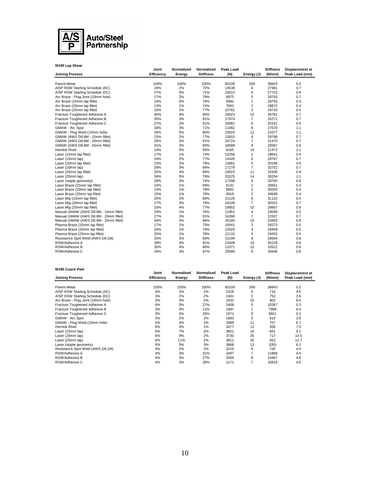

| M190 Lap Shear                        |                     |                      |                                |                  |                |                            |                                   |
|---------------------------------------|---------------------|----------------------|--------------------------------|------------------|----------------|----------------------------|-----------------------------------|
| <b>Joining Process</b>                | Joint<br>Efficiency | Normalized<br>Energy | Normalized<br><b>Stiffness</b> | Peak Load<br>(N) | Energy (J)     | <b>Stiffness</b><br>(N/mm) | Displacement at<br>Peak Load (mm) |
|                                       |                     |                      |                                |                  |                |                            |                                   |
| <b>Parent Metal</b>                   | 100%                | 100%                 | 100%                           | 60109            | 269            | 38843                      | 5.5                               |
| A/SP RSW Starting Schedule (AC)       | 24%                 | 2%                   | 72%                            | 14538            | 6              | 27981                      | 0.7                               |
| A/SP RSW Starting Schedule (DC)       | 27%                 | 3%                   | 71%                            | 16013            | 9              | 27723                      | 0.9                               |
| Arc Braze - Plug Joint (10mm hole)    | 17%                 | 2%                   | 79%                            | 9975             | 5              | 30793                      | 0.7                               |
| Arc Braze (15mm lap fillet)           | 10%                 | 0%                   | 74%                            | 5982             | 1              | 28755                      | 0.3                               |
| Arc Braze (20mm lap fillet)           | 13%                 | 1%                   | 74%                            | 7892             | 2              | 28872                      | 0.4                               |
| Arc Braze (25mm lap fillet)           | 18%                 | 1%                   | 77%                            | 10791            | 3              | 29720                      | 0.5                               |
| Fracture Toughened Adhesive A         | 40%                 | 4%                   | 95%                            | 24023            | 10             | 36781                      | 0.7                               |
| Fracture Toughened Adhesive B         | 30%                 | 3%                   | 91%                            | 17974            | $\overline{7}$ | 35271                      | 0.7                               |
| Fracture Toughened Adhesive C         | 27%                 | 2%                   | 91%                            | 16091            | 6              | 35161                      | 0.6                               |
| GMAW - Arc Spot                       | 18%                 | 3%                   | 71%                            | 11082            | 9              | 27570                      | 1.1                               |
| GMAW - Plug Weld (10mm hole)          | 26%                 | 5%                   | 80%                            | 15819            | 12             | 31077                      | 1.1                               |
| GMAW (AWS D8.8M - 15mm fillet)        | 23%                 | 2%                   | 77%                            | 13815            | 6              | 29798                      | 0.7                               |
| GMAW (AWS D8.8M - 20mm fillet)        | 28%                 | 3%                   | 81%                            | 16724            | $\overline{7}$ | 31470                      | 0.7                               |
| GMAW (AWS D8.8M - 25mm fillet)        | 31%                 | 3%                   | 83%                            | 18588            | 9              | 32067                      | 0.8                               |
| <b>Hemlok Rivet</b>                   | 14%                 | 5%                   | 55%                            | 8165             | 14             | 21472                      | 2.1                               |
| Laser (15mm lap fillet)               | 17%                 | 1%                   | 74%                            | 10258            | $\overline{2}$ | 28641                      | 0.4                               |
| Laser (15mm lap)                      | 24%                 | 2%                   | 77%                            | 14426            | 6              | 29767                      | 0.7                               |
| Laser (20mm lap fillet)               | 23%                 | 2%                   | 78%                            | 13681            | 5              | 30196                      | 0.6                               |
| Laser (20mm lap)                      | 29%                 | 3%                   | 84%                            | 17279            | $\overline{7}$ | 32702                      | 0.7                               |
| Laser (25mm lap fillet)               | 32%                 | 4%                   | 85%                            | 19023            | 11             | 32930                      | 0.9                               |
| Laser (25mm lap)                      | 34%                 | 5%                   | 78%                            | 20225            | 14             | 30254                      | 1.1                               |
| Laser (staple geometry)               | 29%                 | 3%                   | 74%                            | 17298            | 9              | 28705                      | 0.8                               |
| Laser Braze (15mm lap fillet)         | 10%                 | 1%                   | 69%                            | 6132             | $\overline{2}$ | 26661                      | 0.4                               |
| Laser Braze (20mm lap fillet)         | 14%                 | 1%                   | 78%                            | 8681             | $\overline{2}$ | 30250                      | 0.4                               |
| Laser Braze (25mm lap fillet)         | 15%                 | 1%                   | 79%                            | 8916             | $\overline{2}$ | 30689                      | 0.4                               |
| Laser Mig (15mm lap fillet)           | 25%                 | 2%                   | 80%                            | 15125            | 6              | 31122                      | 0.5                               |
| Laser Mig (20mm lap fillet)           | 27%                 | 3%                   | 78%                            | 16108            | $\overline{7}$ | 30322                      | 0.7                               |
| Laser Mig (25mm lap fillet)           | 33%                 | 4%                   | 77%                            | 19852            | 10             | 29887                      | 0.9                               |
| Manual GMAW (AWS D8.8M - 15mm fillet) | 20%                 | 1%                   | 76%                            | 11952            | $\overline{4}$ | 29595                      | 0.5                               |
| Manual GMAW (AWS D8.8M - 20mm fillet) | 27%                 | 3%                   | 81%                            | 16390            | $\overline{7}$ | 31507                      | 0.7                               |
| Manual GMAW (AWS D8.8M - 25mm fillet) | 34%                 | 4%                   | 86%                            | 20160            | 10             | 33493                      | 0.8                               |
| Plasma Braze (15mm lap fillet)        | 17%                 | 1%                   | 73%                            | 10041            | 3              | 28373                      | 0.5                               |
| Plasma Braze (20mm lap fillet)        | 20%                 | 1%                   | 76%                            | 12025            | 4              | 29459                      | 0.5                               |
| Plasma Braze (25mm lap fillet)        | 20%                 | 1%                   | 76%                            | 12110            | 3              | 29452                      | 0.5                               |
| Resistance Spot Weld (AWS D8.1M)      | 25%                 | 3%                   | 69%                            | 15194            | 8              | 26664                      | 0.8                               |
| RSW/Adhesive A                        | 39%                 | 4%                   | 91%                            | 23349            | 10             | 35229                      | 0.8                               |
| RSW/Adhesive B                        | 35%                 | 4%                   | 86%                            | 21071            | 10             | 33522                      | 0.8                               |
| RSW/Adhesive C                        | 34%                 | 3%                   | 87%                            | 20580            | 9              | 33648                      | 0.8                               |

### **M190 Coach Peel**

|                                    | Joint      | Normalized | Normalized       | Peak Load |            | <b>Stiffness</b> | Displacement at |
|------------------------------------|------------|------------|------------------|-----------|------------|------------------|-----------------|
| <b>Joining Process</b>             | Efficiency | Energy     | <b>Stiffness</b> | (N)       | Energy (J) | (N/mm)           | Peak Load (mm)  |
|                                    |            |            |                  |           |            |                  |                 |
| <b>Parent Metal</b>                | 100%       | 100%       | 100%             | 60109     | 269        | 38843            | 5.5             |
| A/SP RSW Starting Schedule (AC)    | 4%         | 2%         | 2%               | 2318      | 6          | 716              | 4.5             |
| A/SP RSW Starting Schedule (DC)    | 3%         | 2%         | 2%               | 1941      | 5          | 753              | 3.9             |
| Arc Braze - Plug Joint (10mm hole) | 3%         | 4%         | 2%               | 1632      | 10         | 802              | 8.0             |
| Fracture Toughened Adhesive A      | 4%         | 0%         | 27%              | 2408      | 0          | 10367            | 0.3             |
| Fracture Toughened Adhesive B      | 3%         | 0%         | 21%              | 1987      |            | 7999             | 0.4             |
| Fracture Toughened Adhesive C      | 3%         | 0%         | 26%              | 1971      | 0          | 9921             | 0.2             |
| GMAW - Arc Spot                    | 3%         | 2%         | 2%               | 1883      | 5          | 610              | 3.8             |
| GMAW - Plug Weld (10mm hole)       | 5%         | 4%         | 2%               | 2889      | 11         | 707              | 6.7             |
| <b>Hemlok Rivet</b>                | 6%         | 5%         | $1\%$            | 3477      | 13         | 358              | 7.0             |
| Laser (15mm lap)                   | 6%         | 7%         | 2%               | 3651      | 18         | 601              | 9.1             |
| Laser (20mm lap)                   | 6%         | 9%         | 2%               | 3730      | 25         | 717              | 10.5            |
| Laser (25mm lap)                   | 6%         | 11%        | 2%               | 3812      | 30         | 652              | 12.7            |
| Laser (staple geometry)            | 6%         | 5%         | 3%               | 3868      | 13         | 1055             | 6.2             |
| Resistance Spot Weld (AWS D8.1M)   | 4%         | 2%         | 2%               | 2216      | 6          | 720              | 4.4             |
| RSW/Adhesive A                     | 4%         | 3%         | 31%              | 2497      | 7          | 11868            | 4.4             |
| RSW/Adhesive B                     | 4%         | 3%         | 27%              | 2569      | 8          | 10497            | 4.6             |
| RSW/Adhesive C                     | 4%         | 3%         | 28%              | 2171      | 7          | 10819            | 4.6             |